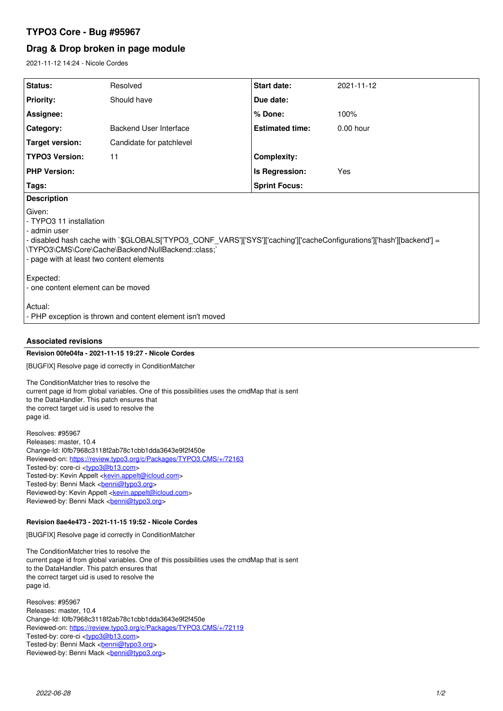# **TYPO3 Core - Bug #95967**

# **Drag & Drop broken in page module**

2021-11-12 14:24 - Nicole Cordes

| Status:                                                                                                                                                                                                                                                                       | Resolved                      | Start date:            | 2021-11-12  |
|-------------------------------------------------------------------------------------------------------------------------------------------------------------------------------------------------------------------------------------------------------------------------------|-------------------------------|------------------------|-------------|
| <b>Priority:</b>                                                                                                                                                                                                                                                              | Should have                   | Due date:              |             |
| Assignee:                                                                                                                                                                                                                                                                     |                               | % Done:                | 100%        |
| Category:                                                                                                                                                                                                                                                                     | <b>Backend User Interface</b> | <b>Estimated time:</b> | $0.00$ hour |
| <b>Target version:</b>                                                                                                                                                                                                                                                        | Candidate for patchlevel      |                        |             |
| <b>TYPO3 Version:</b>                                                                                                                                                                                                                                                         | 11                            | <b>Complexity:</b>     |             |
| <b>PHP Version:</b>                                                                                                                                                                                                                                                           |                               | Is Regression:         | Yes         |
| Tags:                                                                                                                                                                                                                                                                         |                               | <b>Sprint Focus:</b>   |             |
| <b>Description</b>                                                                                                                                                                                                                                                            |                               |                        |             |
| Given:<br>- TYPO3 11 installation<br>- admin user<br>- disabled hash cache with `\$GLOBALS['TYPO3_CONF_VARS']['SYS']['caching']['cacheConfigurations']['hash'][backend'] =<br>\TYPO3\CMS\Core\Cache\Backend\NullBackend::class;`<br>- page with at least two content elements |                               |                        |             |
| Expected:<br>- one content element can be moved                                                                                                                                                                                                                               |                               |                        |             |
| Actual:<br>- PHP exception is thrown and content element isn't moved                                                                                                                                                                                                          |                               |                        |             |

# **Associated revisions**

## **Revision 00fe04fa - 2021-11-15 19:27 - Nicole Cordes**

[BUGFIX] Resolve page id correctly in ConditionMatcher

The ConditionMatcher tries to resolve the current page id from global variables. One of this possibilities uses the cmdMap that is sent to the DataHandler. This patch ensures that the correct target uid is used to resolve the page id.

Resolves: #95967 Releases: master, 10.4 Change-Id: I0fb7968c3118f2ab78c1cbb1dda3643e9f2f450e Reviewed-on:<https://review.typo3.org/c/Packages/TYPO3.CMS/+/72163> Tested-by: core-ci [<typo3@b13.com](mailto:typo3@b13.com)> Tested-by: Kevin Appelt [<kevin.appelt@icloud.com](mailto:kevin.appelt@icloud.com)> Tested-by: Benni Mack <[benni@typo3.org>](mailto:benni@typo3.org) Reviewed-by: Kevin Appelt <[kevin.appelt@icloud.com>](mailto:kevin.appelt@icloud.com) Reviewed-by: Benni Mack <br/>
kenni@typo3.org>

# **Revision 8ae4e473 - 2021-11-15 19:52 - Nicole Cordes**

[BUGFIX] Resolve page id correctly in ConditionMatcher

The ConditionMatcher tries to resolve the current page id from global variables. One of this possibilities uses the cmdMap that is sent to the DataHandler. This patch ensures that the correct target uid is used to resolve the page id.

Resolves: #95967 Releases: master, 10.4 Change-Id: I0fb7968c3118f2ab78c1cbb1dda3643e9f2f450e Reviewed-on:<https://review.typo3.org/c/Packages/TYPO3.CMS/+/72119> Tested-by: core-ci [<typo3@b13.com](mailto:typo3@b13.com)> Tested-by: Benni Mack <[benni@typo3.org>](mailto:benni@typo3.org) Reviewed-by: Benni Mack <br/>
<u>benni@typo3.org</u>>